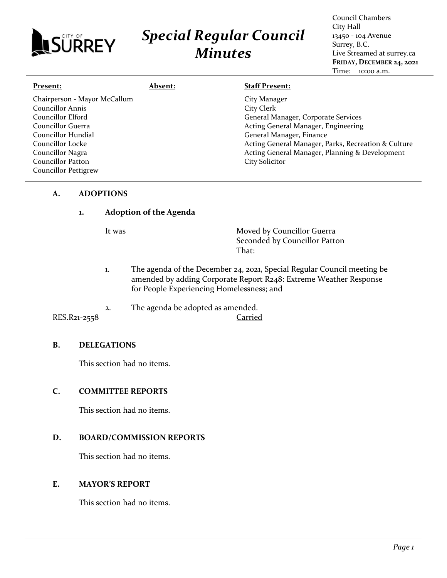

# *Special Regular Council Minutes*

Council Chambers City Hall 13450 - 104 Avenue Surrey, B.C. Live Streamed at surrey.ca **FRIDAY, DECEMBER 24, 2021** Time: 10:00 a.m.

| Present:                                                                                                                                                                             | <b>Absent:</b> | <b>Staff Present:</b>                                                                                                                                                                                                                                                  |
|--------------------------------------------------------------------------------------------------------------------------------------------------------------------------------------|----------------|------------------------------------------------------------------------------------------------------------------------------------------------------------------------------------------------------------------------------------------------------------------------|
| Chairperson - Mayor McCallum<br><b>Councillor Annis</b><br>Councillor Elford<br>Councillor Guerra<br>Councillor Hundial<br>Councillor Locke<br>Councillor Nagra<br>Councillor Patton |                | City Manager<br>City Clerk<br>General Manager, Corporate Services<br>Acting General Manager, Engineering<br>General Manager, Finance<br>Acting General Manager, Parks, Recreation & Culture<br>Acting General Manager, Planning & Development<br><b>City Solicitor</b> |
| <b>Councillor Pettigrew</b>                                                                                                                                                          |                |                                                                                                                                                                                                                                                                        |

## **A. ADOPTIONS**

## **1. Adoption of the Agenda**

It was **Moved by Councillor Guerra** Seconded by Councillor Patton That:

- 1. The agenda of the December 24, 2021, Special Regular Council meeting be amended by adding Corporate Report R248: Extreme Weather Response for People Experiencing Homelessness; and
- 2. The agenda be adopted as amended.

## RES.R21-2558 Carried

## **B. DELEGATIONS**

This section had no items.

# **C. COMMITTEE REPORTS**

This section had no items.

# **D. BOARD/COMMISSION REPORTS**

This section had no items.

#### **E. MAYOR'S REPORT**

This section had no items.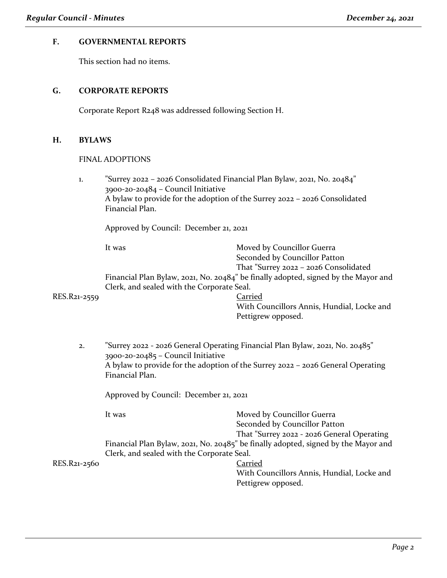# **F. GOVERNMENTAL REPORTS**

This section had no items.

## **G. CORPORATE REPORTS**

Corporate Report R248 was addressed following Section H.

#### **H. BYLAWS**

#### FINAL ADOPTIONS

1. "Surrey 2022 – 2026 Consolidated Financial Plan Bylaw, 2021, No. 20484" 3900-20-20484 – Council Initiative A bylaw to provide for the adoption of the Surrey 2022 – 2026 Consolidated Financial Plan.

Approved by Council: December 21, 2021

It was Moved by Councillor Guerra Seconded by Councillor Patton That "Surrey 2022 – 2026 Consolidated

Financial Plan Bylaw, 2021, No. 20484" be finally adopted, signed by the Mayor and Clerk, and sealed with the Corporate Seal.

#### RES.R21-2559 Carried

With Councillors Annis, Hundial, Locke and Pettigrew opposed.

2. "Surrey 2022 - 2026 General Operating Financial Plan Bylaw, 2021, No. 20485" 3900-20-20485 – Council Initiative A bylaw to provide for the adoption of the Surrey 2022 – 2026 General Operating Financial Plan.

Approved by Council: December 21, 2021

|              | It was                                     | Moved by Councillor Guerra                                                         |
|--------------|--------------------------------------------|------------------------------------------------------------------------------------|
|              |                                            | Seconded by Councillor Patton                                                      |
|              |                                            | That "Surrey 2022 - 2026 General Operating                                         |
|              |                                            | Financial Plan Bylaw, 2021, No. 20485" be finally adopted, signed by the Mayor and |
|              | Clerk, and sealed with the Corporate Seal. |                                                                                    |
| RES.R21-2560 |                                            | Carried                                                                            |

With Councillors Annis, Hundial, Locke and Pettigrew opposed.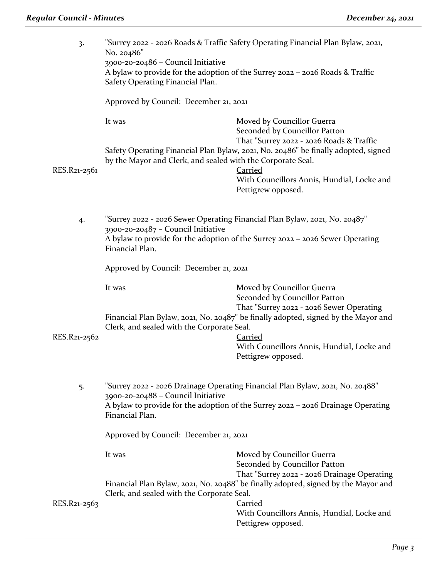| 3.           | "Surrey 2022 - 2026 Roads & Traffic Safety Operating Financial Plan Bylaw, 2021,<br>No. 20486"<br>3900-20-20486 - Council Initiative<br>A bylaw to provide for the adoption of the Surrey 2022 - 2026 Roads & Traffic<br>Safety Operating Financial Plan.            |                                                                                                                                                                                                                                                                                        |
|--------------|----------------------------------------------------------------------------------------------------------------------------------------------------------------------------------------------------------------------------------------------------------------------|----------------------------------------------------------------------------------------------------------------------------------------------------------------------------------------------------------------------------------------------------------------------------------------|
|              | Approved by Council: December 21, 2021                                                                                                                                                                                                                               |                                                                                                                                                                                                                                                                                        |
| RES.R21-2561 | It was<br>by the Mayor and Clerk, and sealed with the Corporate Seal.                                                                                                                                                                                                | Moved by Councillor Guerra<br>Seconded by Councillor Patton<br>That "Surrey 2022 - 2026 Roads & Traffic<br>Safety Operating Financial Plan Bylaw, 2021, No. 20486" be finally adopted, signed<br><b>Carried</b><br>With Councillors Annis, Hundial, Locke and<br>Pettigrew opposed.    |
| 4.           | "Surrey 2022 - 2026 Sewer Operating Financial Plan Bylaw, 2021, No. 20487"<br>3900-20-20487 - Council Initiative<br>A bylaw to provide for the adoption of the Surrey 2022 - 2026 Sewer Operating<br>Financial Plan.                                                 |                                                                                                                                                                                                                                                                                        |
|              | Approved by Council: December 21, 2021                                                                                                                                                                                                                               |                                                                                                                                                                                                                                                                                        |
| RES.R21-2562 | It was<br>Clerk, and sealed with the Corporate Seal.                                                                                                                                                                                                                 | Moved by Councillor Guerra<br>Seconded by Councillor Patton<br>That "Surrey 2022 - 2026 Sewer Operating<br>Financial Plan Bylaw, 2021, No. 20487" be finally adopted, signed by the Mayor and<br><b>Carried</b><br>With Councillors Annis, Hundial, Locke and<br>Pettigrew opposed.    |
| 5.           | "Surrey 2022 - 2026 Drainage Operating Financial Plan Bylaw, 2021, No. 20488"<br>3900-20-20488 - Council Initiative<br>A bylaw to provide for the adoption of the Surrey 2022 - 2026 Drainage Operating<br>Financial Plan.<br>Approved by Council: December 21, 2021 |                                                                                                                                                                                                                                                                                        |
|              |                                                                                                                                                                                                                                                                      |                                                                                                                                                                                                                                                                                        |
| RES.R21-2563 | It was<br>Clerk, and sealed with the Corporate Seal.                                                                                                                                                                                                                 | Moved by Councillor Guerra<br>Seconded by Councillor Patton<br>That "Surrey 2022 - 2026 Drainage Operating<br>Financial Plan Bylaw, 2021, No. 20488" be finally adopted, signed by the Mayor and<br><b>Carried</b><br>With Councillors Annis, Hundial, Locke and<br>Pettigrew opposed. |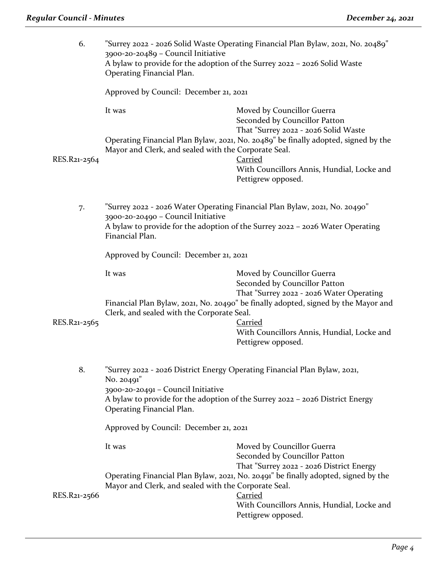| 6.           | "Surrey 2022 - 2026 Solid Waste Operating Financial Plan Bylaw, 2021, No. 20489"<br>3900-20-20489 - Council Initiative<br>A bylaw to provide for the adoption of the Surrey 2022 - 2026 Solid Waste<br>Operating Financial Plan.<br>Approved by Council: December 21, 2021           |                                                                                                         |  |
|--------------|--------------------------------------------------------------------------------------------------------------------------------------------------------------------------------------------------------------------------------------------------------------------------------------|---------------------------------------------------------------------------------------------------------|--|
|              |                                                                                                                                                                                                                                                                                      |                                                                                                         |  |
|              | It was                                                                                                                                                                                                                                                                               | Moved by Councillor Guerra<br>Seconded by Councillor Patton<br>That "Surrey 2022 - 2026 Solid Waste     |  |
| RES.R21-2564 | Mayor and Clerk, and sealed with the Corporate Seal.                                                                                                                                                                                                                                 | Operating Financial Plan Bylaw, 2021, No. 20489" be finally adopted, signed by the<br><b>Carried</b>    |  |
|              |                                                                                                                                                                                                                                                                                      | With Councillors Annis, Hundial, Locke and<br>Pettigrew opposed.                                        |  |
| 7.           | 3900-20-20490 - Council Initiative                                                                                                                                                                                                                                                   | "Surrey 2022 - 2026 Water Operating Financial Plan Bylaw, 2021, No. 20490"                              |  |
|              | A bylaw to provide for the adoption of the Surrey 2022 - 2026 Water Operating<br>Financial Plan.                                                                                                                                                                                     |                                                                                                         |  |
|              | Approved by Council: December 21, 2021                                                                                                                                                                                                                                               |                                                                                                         |  |
|              | It was                                                                                                                                                                                                                                                                               | Moved by Councillor Guerra<br>Seconded by Councillor Patton                                             |  |
|              | That "Surrey 2022 - 2026 Water Operating<br>Financial Plan Bylaw, 2021, No. 20490" be finally adopted, signed by the Mayor and<br>Clerk, and sealed with the Corporate Seal.                                                                                                         |                                                                                                         |  |
| RES.R21-2565 |                                                                                                                                                                                                                                                                                      | <b>Carried</b><br>With Councillors Annis, Hundial, Locke and<br>Pettigrew opposed.                      |  |
| 8.           | Surrey 2022 - 2026 District Energy Operating Financial Plan Bylaw, 2021,<br>No. 20491"<br>3900-20-20491 - Council Initiative<br>A bylaw to provide for the adoption of the Surrey 2022 - 2026 District Energy<br>Operating Financial Plan.<br>Approved by Council: December 21, 2021 |                                                                                                         |  |
|              |                                                                                                                                                                                                                                                                                      |                                                                                                         |  |
|              |                                                                                                                                                                                                                                                                                      |                                                                                                         |  |
|              | It was                                                                                                                                                                                                                                                                               | Moved by Councillor Guerra<br>Seconded by Councillor Patton<br>That "Surrey 2022 - 2026 District Energy |  |
|              | Mayor and Clerk, and sealed with the Corporate Seal.                                                                                                                                                                                                                                 | Operating Financial Plan Bylaw, 2021, No. 20491" be finally adopted, signed by the                      |  |
| RES.R21-2566 |                                                                                                                                                                                                                                                                                      | Carried<br>With Councillors Annis, Hundial, Locke and<br>Pettigrew opposed.                             |  |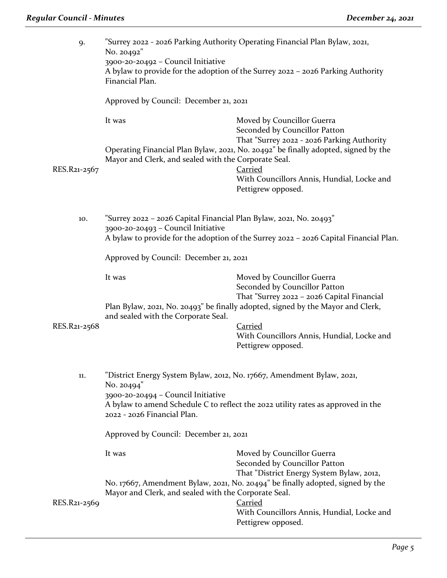| 9.           | "Surrey 2022 - 2026 Parking Authority Operating Financial Plan Bylaw, 2021,<br>No. 20492"<br>3900-20-20492 - Council Initiative<br>A bylaw to provide for the adoption of the Surrey 2022 - 2026 Parking Authority<br>Financial Plan.                                                   |                                                                                                                                                                                                                                                                                       |
|--------------|-----------------------------------------------------------------------------------------------------------------------------------------------------------------------------------------------------------------------------------------------------------------------------------------|---------------------------------------------------------------------------------------------------------------------------------------------------------------------------------------------------------------------------------------------------------------------------------------|
|              | Approved by Council: December 21, 2021                                                                                                                                                                                                                                                  |                                                                                                                                                                                                                                                                                       |
| RES.R21-2567 | It was<br>Mayor and Clerk, and sealed with the Corporate Seal.                                                                                                                                                                                                                          | Moved by Councillor Guerra<br>Seconded by Councillor Patton<br>That "Surrey 2022 - 2026 Parking Authority<br>Operating Financial Plan Bylaw, 2021, No. 20492" be finally adopted, signed by the<br><b>Carried</b><br>With Councillors Annis, Hundial, Locke and<br>Pettigrew opposed. |
| 10.          | "Surrey 2022 - 2026 Capital Financial Plan Bylaw, 2021, No. 20493"<br>3900-20-20493 - Council Initiative<br>A bylaw to provide for the adoption of the Surrey 2022 - 2026 Capital Financial Plan.<br>Approved by Council: December 21, 2021                                             |                                                                                                                                                                                                                                                                                       |
|              |                                                                                                                                                                                                                                                                                         |                                                                                                                                                                                                                                                                                       |
| RES.R21-2568 | It was<br>and sealed with the Corporate Seal.                                                                                                                                                                                                                                           | Moved by Councillor Guerra<br>Seconded by Councillor Patton<br>That "Surrey 2022 - 2026 Capital Financial<br>Plan Bylaw, 2021, No. 20493" be finally adopted, signed by the Mayor and Clerk,<br><b>Carried</b><br>With Councillors Annis, Hundial, Locke and<br>Pettigrew opposed.    |
| 11.          | "District Energy System Bylaw, 2012, No. 17667, Amendment Bylaw, 2021,<br>No. 20494"<br>3900-20-20494 - Council Initiative<br>A bylaw to amend Schedule C to reflect the 2022 utility rates as approved in the<br>2022 - 2026 Financial Plan.<br>Approved by Council: December 21, 2021 |                                                                                                                                                                                                                                                                                       |
|              | It was                                                                                                                                                                                                                                                                                  | Moved by Councillor Guerra<br>Seconded by Councillor Patton<br>That "District Energy System Bylaw, 2012,<br>No. 17667, Amendment Bylaw, 2021, No. 20494" be finally adopted, signed by the                                                                                            |
| RES.R21-2569 | Mayor and Clerk, and sealed with the Corporate Seal.                                                                                                                                                                                                                                    | <b>Carried</b><br>With Councillors Annis, Hundial, Locke and<br>Pettigrew opposed.                                                                                                                                                                                                    |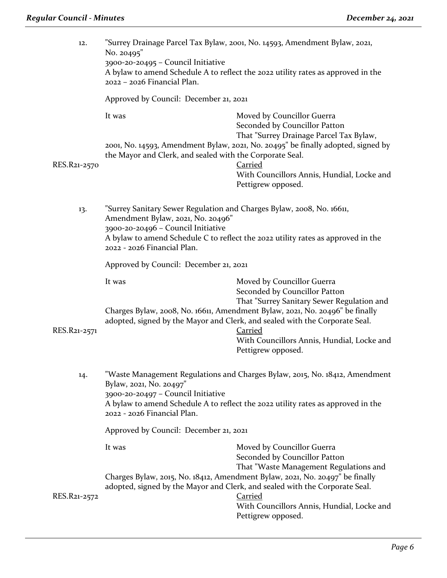| 12.          | "Surrey Drainage Parcel Tax Bylaw, 2001, No. 14593, Amendment Bylaw, 2021,<br>No. 20495"<br>3900-20-20495 - Council Initiative<br>A bylaw to amend Schedule A to reflect the 2022 utility rates as approved in the<br>2022 - 2026 Financial Plan.                   |                                                                                                                                                                                                                                                                                                                                                                |
|--------------|---------------------------------------------------------------------------------------------------------------------------------------------------------------------------------------------------------------------------------------------------------------------|----------------------------------------------------------------------------------------------------------------------------------------------------------------------------------------------------------------------------------------------------------------------------------------------------------------------------------------------------------------|
|              | Approved by Council: December 21, 2021                                                                                                                                                                                                                              |                                                                                                                                                                                                                                                                                                                                                                |
| RES.R21-2570 | It was<br>the Mayor and Clerk, and sealed with the Corporate Seal.                                                                                                                                                                                                  | Moved by Councillor Guerra<br>Seconded by Councillor Patton<br>That "Surrey Drainage Parcel Tax Bylaw,<br>2001, No. 14593, Amendment Bylaw, 2021, No. 20495" be finally adopted, signed by<br><b>Carried</b><br>With Councillors Annis, Hundial, Locke and<br>Pettigrew opposed.                                                                               |
| 13.          | "Surrey Sanitary Sewer Regulation and Charges Bylaw, 2008, No. 16611,<br>Amendment Bylaw, 2021, No. 20496"<br>3900-20-20496 - Council Initiative<br>A bylaw to amend Schedule C to reflect the 2022 utility rates as approved in the<br>2022 - 2026 Financial Plan. |                                                                                                                                                                                                                                                                                                                                                                |
|              | Approved by Council: December 21, 2021                                                                                                                                                                                                                              |                                                                                                                                                                                                                                                                                                                                                                |
| RES.R21-2571 | It was                                                                                                                                                                                                                                                              | Moved by Councillor Guerra<br>Seconded by Councillor Patton<br>That "Surrey Sanitary Sewer Regulation and<br>Charges Bylaw, 2008, No. 16611, Amendment Bylaw, 2021, No. 20496" be finally<br>adopted, signed by the Mayor and Clerk, and sealed with the Corporate Seal.<br><b>Carried</b><br>With Councillors Annis, Hundial, Locke and<br>Pettigrew opposed. |
| 14.          | "Waste Management Regulations and Charges Bylaw, 2015, No. 18412, Amendment<br>Bylaw, 2021, No. 20497"<br>3900-20-20497 - Council Initiative<br>A bylaw to amend Schedule A to reflect the 2022 utility rates as approved in the<br>2022 - 2026 Financial Plan.     |                                                                                                                                                                                                                                                                                                                                                                |
|              | Approved by Council: December 21, 2021                                                                                                                                                                                                                              |                                                                                                                                                                                                                                                                                                                                                                |
|              | It was                                                                                                                                                                                                                                                              | Moved by Councillor Guerra<br>Seconded by Councillor Patton<br>That "Waste Management Regulations and<br>Charges Bylaw, 2015, No. 18412, Amendment Bylaw, 2021, No. 20497" be finally                                                                                                                                                                          |
| RES.R21-2572 |                                                                                                                                                                                                                                                                     | adopted, signed by the Mayor and Clerk, and sealed with the Corporate Seal.<br><b>Carried</b><br>With Councillors Annis, Hundial, Locke and<br>Pettigrew opposed.                                                                                                                                                                                              |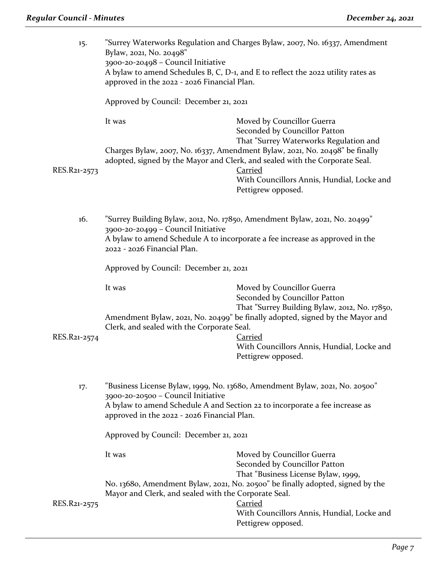| 15.          | "Surrey Waterworks Regulation and Charges Bylaw, 2007, No. 16337, Amendment<br>Bylaw, 2021, No. 20498"<br>3900-20-20498 - Council Initiative<br>A bylaw to amend Schedules B, C, D-1, and E to reflect the 2022 utility rates as<br>approved in the 2022 - 2026 Financial Plan.           |                                                                                                                                                                                                                                                                                                                                                            |
|--------------|-------------------------------------------------------------------------------------------------------------------------------------------------------------------------------------------------------------------------------------------------------------------------------------------|------------------------------------------------------------------------------------------------------------------------------------------------------------------------------------------------------------------------------------------------------------------------------------------------------------------------------------------------------------|
|              | Approved by Council: December 21, 2021                                                                                                                                                                                                                                                    |                                                                                                                                                                                                                                                                                                                                                            |
| RES.R21-2573 | It was                                                                                                                                                                                                                                                                                    | Moved by Councillor Guerra<br>Seconded by Councillor Patton<br>That "Surrey Waterworks Regulation and<br>Charges Bylaw, 2007, No. 16337, Amendment Bylaw, 2021, No. 20498" be finally<br>adopted, signed by the Mayor and Clerk, and sealed with the Corporate Seal.<br><b>Carried</b><br>With Councillors Annis, Hundial, Locke and<br>Pettigrew opposed. |
| 16.          | "Surrey Building Bylaw, 2012, No. 17850, Amendment Bylaw, 2021, No. 20499"<br>3900-20-20499 - Council Initiative<br>A bylaw to amend Schedule A to incorporate a fee increase as approved in the<br>2022 - 2026 Financial Plan.                                                           |                                                                                                                                                                                                                                                                                                                                                            |
|              | Approved by Council: December 21, 2021                                                                                                                                                                                                                                                    |                                                                                                                                                                                                                                                                                                                                                            |
| RES.R21-2574 | It was<br>Clerk, and sealed with the Corporate Seal.                                                                                                                                                                                                                                      | Moved by Councillor Guerra<br>Seconded by Councillor Patton<br>That "Surrey Building Bylaw, 2012, No. 17850,<br>Amendment Bylaw, 2021, No. 20499" be finally adopted, signed by the Mayor and<br><b>Carried</b><br>With Councillors Annis, Hundial, Locke and<br>Pettigrew opposed.                                                                        |
| 17.          | "Business License Bylaw, 1999, No. 13680, Amendment Bylaw, 2021, No. 20500"<br>3900-20-20500 - Council Initiative<br>A bylaw to amend Schedule A and Section 22 to incorporate a fee increase as<br>approved in the 2022 - 2026 Financial Plan.<br>Approved by Council: December 21, 2021 |                                                                                                                                                                                                                                                                                                                                                            |
|              |                                                                                                                                                                                                                                                                                           |                                                                                                                                                                                                                                                                                                                                                            |
| RES.R21-2575 | It was<br>Mayor and Clerk, and sealed with the Corporate Seal.                                                                                                                                                                                                                            | Moved by Councillor Guerra<br>Seconded by Councillor Patton<br>That "Business License Bylaw, 1999,<br>No. 13680, Amendment Bylaw, 2021, No. 20500" be finally adopted, signed by the<br><b>Carried</b>                                                                                                                                                     |
|              |                                                                                                                                                                                                                                                                                           | With Councillors Annis, Hundial, Locke and<br>Pettigrew opposed.                                                                                                                                                                                                                                                                                           |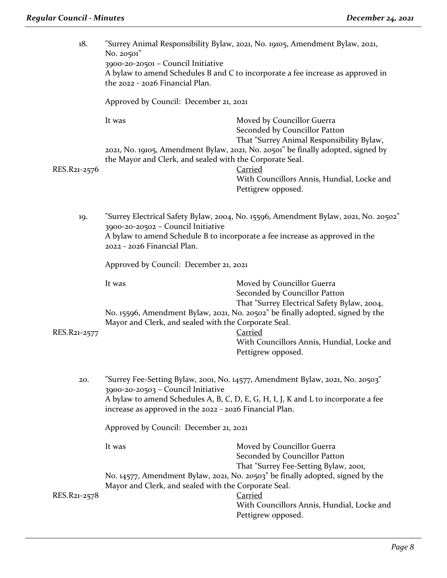| 18.          | "Surrey Animal Responsibility Bylaw, 2021, No. 19105, Amendment Bylaw, 2021,<br>No. 20501"<br>3900-20-20501 - Council Initiative<br>A bylaw to amend Schedules B and C to incorporate a fee increase as approved in<br>the 2022 - 2026 Financial Plan.               |                                                                                                                                                                                                                                                                                    |
|--------------|----------------------------------------------------------------------------------------------------------------------------------------------------------------------------------------------------------------------------------------------------------------------|------------------------------------------------------------------------------------------------------------------------------------------------------------------------------------------------------------------------------------------------------------------------------------|
|              | Approved by Council: December 21, 2021                                                                                                                                                                                                                               |                                                                                                                                                                                                                                                                                    |
| RES.R21-2576 | It was<br>the Mayor and Clerk, and sealed with the Corporate Seal.                                                                                                                                                                                                   | Moved by Councillor Guerra<br>Seconded by Councillor Patton<br>That "Surrey Animal Responsibility Bylaw,<br>2021, No. 19105, Amendment Bylaw, 2021, No. 20501" be finally adopted, signed by<br><b>Carried</b><br>With Councillors Annis, Hundial, Locke and<br>Pettigrew opposed. |
| 19.          | "Surrey Electrical Safety Bylaw, 2004, No. 15596, Amendment Bylaw, 2021, No. 20502"<br>3900-20-20502 - Council Initiative<br>A bylaw to amend Schedule B to incorporate a fee increase as approved in the<br>2022 - 2026 Financial Plan.                             |                                                                                                                                                                                                                                                                                    |
|              | Approved by Council: December 21, 2021                                                                                                                                                                                                                               |                                                                                                                                                                                                                                                                                    |
| RES.R21-2577 | It was<br>Mayor and Clerk, and sealed with the Corporate Seal.                                                                                                                                                                                                       | Moved by Councillor Guerra<br>Seconded by Councillor Patton<br>That "Surrey Electrical Safety Bylaw, 2004,<br>No. 15596, Amendment Bylaw, 2021, No. 20502" be finally adopted, signed by the<br><b>Carried</b><br>With Councillors Annis, Hundial, Locke and<br>Pettigrew opposed. |
| 20.          | "Surrey Fee-Setting Bylaw, 2001, No. 14577, Amendment Bylaw, 2021, No. 20503"<br>3900-20-20503 - Council Initiative<br>A bylaw to amend Schedules A, B, C, D, E, G, H, I, J, K and L to incorporate a fee<br>increase as approved in the 2022 - 2026 Financial Plan. |                                                                                                                                                                                                                                                                                    |
|              | Approved by Council: December 21, 2021                                                                                                                                                                                                                               |                                                                                                                                                                                                                                                                                    |
| RES.R21-2578 | It was<br>Mayor and Clerk, and sealed with the Corporate Seal.                                                                                                                                                                                                       | Moved by Councillor Guerra<br>Seconded by Councillor Patton<br>That "Surrey Fee-Setting Bylaw, 2001,<br>No. 14577, Amendment Bylaw, 2021, No. 20503" be finally adopted, signed by the<br><b>Carried</b><br>With Councillors Annis, Hundial, Locke and<br>Pettigrew opposed.       |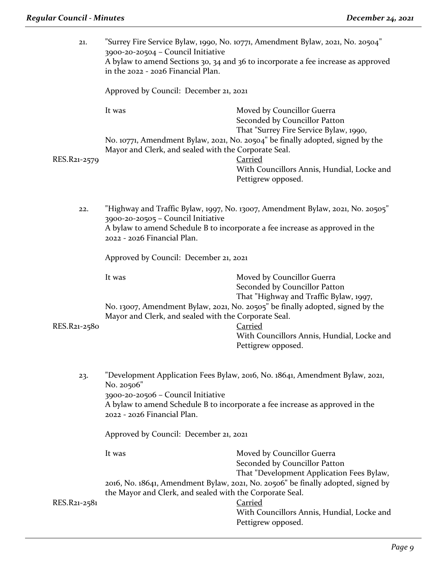| 21.                                                                                                                                                    | "Surrey Fire Service Bylaw, 1990, No. 10771, Amendment Bylaw, 2021, No. 20504"<br>3900-20-20504 - Council Initiative<br>A bylaw to amend Sections 30, 34 and 36 to incorporate a fee increase as approved<br>in the 2022 - 2026 Financial Plan. |                                                                                                                                                                |
|--------------------------------------------------------------------------------------------------------------------------------------------------------|-------------------------------------------------------------------------------------------------------------------------------------------------------------------------------------------------------------------------------------------------|----------------------------------------------------------------------------------------------------------------------------------------------------------------|
|                                                                                                                                                        | Approved by Council: December 21, 2021                                                                                                                                                                                                          |                                                                                                                                                                |
|                                                                                                                                                        | It was                                                                                                                                                                                                                                          | Moved by Councillor Guerra<br>Seconded by Councillor Patton<br>That "Surrey Fire Service Bylaw, 1990,                                                          |
| RES.R21-2579                                                                                                                                           | Mayor and Clerk, and sealed with the Corporate Seal.                                                                                                                                                                                            | No. 10771, Amendment Bylaw, 2021, No. 20504" be finally adopted, signed by the<br>Carried                                                                      |
|                                                                                                                                                        |                                                                                                                                                                                                                                                 | With Councillors Annis, Hundial, Locke and<br>Pettigrew opposed.                                                                                               |
| 22.                                                                                                                                                    | 3900-20-20505 - Council Initiative                                                                                                                                                                                                              | "Highway and Traffic Bylaw, 1997, No. 13007, Amendment Bylaw, 2021, No. 20505"<br>A bylaw to amend Schedule B to incorporate a fee increase as approved in the |
|                                                                                                                                                        | 2022 - 2026 Financial Plan.                                                                                                                                                                                                                     |                                                                                                                                                                |
|                                                                                                                                                        | Approved by Council: December 21, 2021                                                                                                                                                                                                          |                                                                                                                                                                |
|                                                                                                                                                        | It was                                                                                                                                                                                                                                          | Moved by Councillor Guerra<br>Seconded by Councillor Patton<br>That "Highway and Traffic Bylaw, 1997,                                                          |
| No. 13007, Amendment Bylaw, 2021, No. 20505" be finally adopted, signed by the<br>Mayor and Clerk, and sealed with the Corporate Seal.<br>RES.R21-2580 |                                                                                                                                                                                                                                                 | <b>Carried</b>                                                                                                                                                 |
|                                                                                                                                                        |                                                                                                                                                                                                                                                 | With Councillors Annis, Hundial, Locke and<br>Pettigrew opposed.                                                                                               |
| 23.                                                                                                                                                    | "Development Application Fees Bylaw, 2016, No. 18641, Amendment Bylaw, 2021,<br>No. 20506"                                                                                                                                                      |                                                                                                                                                                |
|                                                                                                                                                        | 3900-20-20506 - Council Initiative<br>2022 - 2026 Financial Plan.                                                                                                                                                                               | A bylaw to amend Schedule B to incorporate a fee increase as approved in the                                                                                   |
|                                                                                                                                                        | Approved by Council: December 21, 2021                                                                                                                                                                                                          |                                                                                                                                                                |
|                                                                                                                                                        | It was                                                                                                                                                                                                                                          | Moved by Councillor Guerra<br>Seconded by Councillor Patton<br>That "Development Application Fees Bylaw,                                                       |
| RES.R21-2581                                                                                                                                           | the Mayor and Clerk, and sealed with the Corporate Seal.                                                                                                                                                                                        | 2016, No. 18641, Amendment Bylaw, 2021, No. 20506" be finally adopted, signed by<br><b>Carried</b>                                                             |
|                                                                                                                                                        |                                                                                                                                                                                                                                                 | With Councillors Annis, Hundial, Locke and<br>Pettigrew opposed.                                                                                               |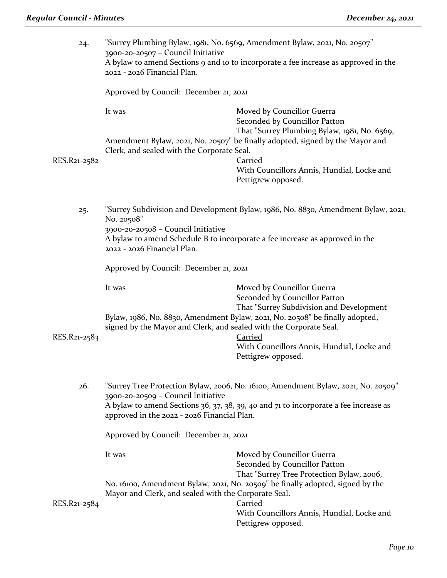| 24.          | "Surrey Plumbing Bylaw, 1981, No. 6569, Amendment Bylaw, 2021, No. 20507"<br>3900-20-20507 - Council Initiative<br>A bylaw to amend Sections 9 and 10 to incorporate a fee increase as approved in the<br>2022 - 2026 Financial Plan.                                                                    |                                                                                                                                                                      |  |
|--------------|----------------------------------------------------------------------------------------------------------------------------------------------------------------------------------------------------------------------------------------------------------------------------------------------------------|----------------------------------------------------------------------------------------------------------------------------------------------------------------------|--|
|              | Approved by Council: December 21, 2021                                                                                                                                                                                                                                                                   |                                                                                                                                                                      |  |
|              | It was                                                                                                                                                                                                                                                                                                   | Moved by Councillor Guerra<br>Seconded by Councillor Patton<br>That "Surrey Plumbing Bylaw, 1981, No. 6569,                                                          |  |
| RES.R21-2582 | Clerk, and sealed with the Corporate Seal.                                                                                                                                                                                                                                                               | Amendment Bylaw, 2021, No. 20507" be finally adopted, signed by the Mayor and<br><b>Carried</b><br>With Councillors Annis, Hundial, Locke and<br>Pettigrew opposed.  |  |
| 25.          | No. 20508"<br>3900-20-20508 - Council Initiative                                                                                                                                                                                                                                                         | "Surrey Subdivision and Development Bylaw, 1986, No. 8830, Amendment Bylaw, 2021,                                                                                    |  |
|              | A bylaw to amend Schedule B to incorporate a fee increase as approved in the<br>2022 - 2026 Financial Plan.                                                                                                                                                                                              |                                                                                                                                                                      |  |
|              | Approved by Council: December 21, 2021                                                                                                                                                                                                                                                                   |                                                                                                                                                                      |  |
|              | It was                                                                                                                                                                                                                                                                                                   | Moved by Councillor Guerra<br>Seconded by Councillor Patton<br>That "Surrey Subdivision and Development                                                              |  |
| RES.R21-2583 | Bylaw, 1986, No. 8830, Amendment Bylaw, 2021, No. 20508" be finally adopted,<br>signed by the Mayor and Clerk, and sealed with the Corporate Seal.<br><b>Carried</b>                                                                                                                                     |                                                                                                                                                                      |  |
|              |                                                                                                                                                                                                                                                                                                          | With Councillors Annis, Hundial, Locke and<br>Pettigrew opposed.                                                                                                     |  |
| 26.          | "Surrey Tree Protection Bylaw, 2006, No. 16100, Amendment Bylaw, 2021, No. 20509"<br>3900-20-20509 - Council Initiative<br>A bylaw to amend Sections 36, 37, 38, 39, 40 and 71 to incorporate a fee increase as<br>approved in the 2022 - 2026 Financial Plan.<br>Approved by Council: December 21, 2021 |                                                                                                                                                                      |  |
|              |                                                                                                                                                                                                                                                                                                          |                                                                                                                                                                      |  |
|              | It was                                                                                                                                                                                                                                                                                                   | Moved by Councillor Guerra<br>Seconded by Councillor Patton<br>That "Surrey Tree Protection Bylaw, 2006,                                                             |  |
| RES.R21-2584 | Mayor and Clerk, and sealed with the Corporate Seal.                                                                                                                                                                                                                                                     | No. 16100, Amendment Bylaw, 2021, No. 20509" be finally adopted, signed by the<br><b>Carried</b><br>With Councillors Annis, Hundial, Locke and<br>Pettigrew opposed. |  |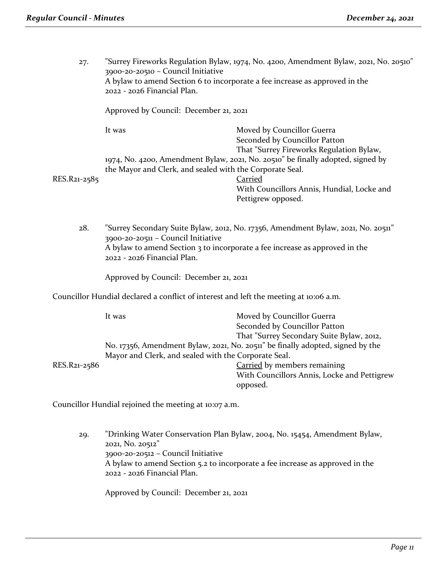27. "Surrey Fireworks Regulation Bylaw, 1974, No. 4200, Amendment Bylaw, 2021, No. 20510" 3900-20-20510 – Council Initiative A bylaw to amend Section 6 to incorporate a fee increase as approved in the 2022 - 2026 Financial Plan.

Approved by Council: December 21, 2021

It was Moved by Councillor Guerra Seconded by Councillor Patton That "Surrey Fireworks Regulation Bylaw, 1974, No. 4200, Amendment Bylaw, 2021, No. 20510" be finally adopted, signed by the Mayor and Clerk, and sealed with the Corporate Seal. RES.R21-2585 Carried

With Councillors Annis, Hundial, Locke and Pettigrew opposed.

28. "Surrey Secondary Suite Bylaw, 2012, No. 17356, Amendment Bylaw, 2021, No. 20511" 3900-20-20511 – Council Initiative A bylaw to amend Section 3 to incorporate a fee increase as approved in the 2022 - 2026 Financial Plan.

Approved by Council: December 21, 2021

Councillor Hundial declared a conflict of interest and left the meeting at 10:06 a.m.

|              | It was                                               | Moved by Councillor Guerra                                                     |
|--------------|------------------------------------------------------|--------------------------------------------------------------------------------|
|              |                                                      | Seconded by Councillor Patton                                                  |
|              |                                                      | That "Surrey Secondary Suite Bylaw, 2012,                                      |
|              |                                                      | No. 17356, Amendment Bylaw, 2021, No. 20511" be finally adopted, signed by the |
|              | Mayor and Clerk, and sealed with the Corporate Seal. |                                                                                |
| RES.R21-2586 |                                                      | Carried by members remaining                                                   |
|              |                                                      | With Councillors Annis, Locke and Pettigrew                                    |
|              |                                                      | opposed.                                                                       |

Councillor Hundial rejoined the meeting at 10:07 a.m.

29. "Drinking Water Conservation Plan Bylaw, 2004, No. 15454, Amendment Bylaw, 2021, No. 20512" 3900-20-20512 – Council Initiative A bylaw to amend Section 5.2 to incorporate a fee increase as approved in the 2022 - 2026 Financial Plan.

Approved by Council: December 21, 2021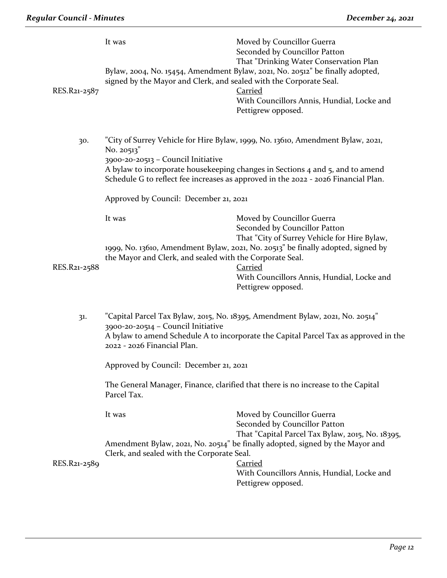| RES.R21-2587 | It was<br>signed by the Mayor and Clerk, and sealed with the Corporate Seal.                                | Moved by Councillor Guerra<br>Seconded by Councillor Patton<br>That "Drinking Water Conservation Plan<br>Bylaw, 2004, No. 15454, Amendment Bylaw, 2021, No. 20512" be finally adopted,<br><b>Carried</b><br>With Councillors Annis, Hundial, Locke and<br>Pettigrew opposed.           |
|--------------|-------------------------------------------------------------------------------------------------------------|----------------------------------------------------------------------------------------------------------------------------------------------------------------------------------------------------------------------------------------------------------------------------------------|
| 30.          | No. 20513"<br>3900-20-20513 - Council Initiative                                                            | "City of Surrey Vehicle for Hire Bylaw, 1999, No. 13610, Amendment Bylaw, 2021,<br>A bylaw to incorporate housekeeping changes in Sections 4 and 5, and to amend<br>Schedule G to reflect fee increases as approved in the 2022 - 2026 Financial Plan.                                 |
|              | Approved by Council: December 21, 2021                                                                      |                                                                                                                                                                                                                                                                                        |
| RES.R21-2588 | It was<br>the Mayor and Clerk, and sealed with the Corporate Seal.                                          | Moved by Councillor Guerra<br>Seconded by Councillor Patton<br>That "City of Surrey Vehicle for Hire Bylaw,<br>1999, No. 13610, Amendment Bylaw, 2021, No. 20513" be finally adopted, signed by<br><b>Carried</b><br>With Councillors Annis, Hundial, Locke and<br>Pettigrew opposed.  |
| 31.          | 3900-20-20514 - Council Initiative<br>2022 - 2026 Financial Plan.<br>Approved by Council: December 21, 2021 | "Capital Parcel Tax Bylaw, 2015, No. 18395, Amendment Bylaw, 2021, No. 20514"<br>A bylaw to amend Schedule A to incorporate the Capital Parcel Tax as approved in the<br>The General Manager, Finance, clarified that there is no increase to the Capital                              |
|              | Parcel Tax.                                                                                                 |                                                                                                                                                                                                                                                                                        |
| RES.R21-2589 | It was<br>Clerk, and sealed with the Corporate Seal.                                                        | Moved by Councillor Guerra<br>Seconded by Councillor Patton<br>That "Capital Parcel Tax Bylaw, 2015, No. 18395,<br>Amendment Bylaw, 2021, No. 20514" be finally adopted, signed by the Mayor and<br><b>Carried</b><br>With Councillors Annis, Hundial, Locke and<br>Pettigrew opposed. |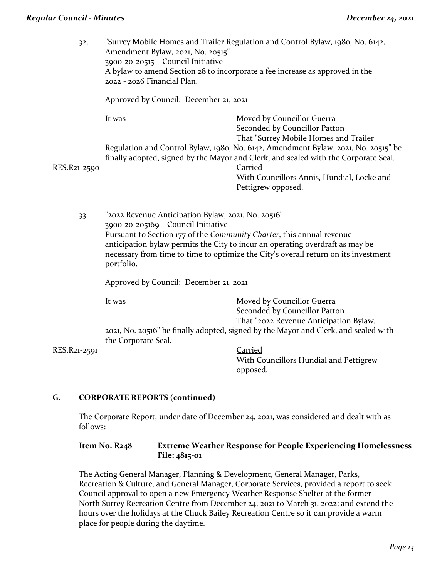| 32.          | Amendment Bylaw, 2021, No. 20515"<br>3900-20-20515 - Council Initiative<br>2022 - 2026 Financial Plan.                                                                                                                                                                                                                                                   | "Surrey Mobile Homes and Trailer Regulation and Control Bylaw, 1980, No. 6142,<br>A bylaw to amend Section 28 to incorporate a fee increase as approved in the                                                                                           |
|--------------|----------------------------------------------------------------------------------------------------------------------------------------------------------------------------------------------------------------------------------------------------------------------------------------------------------------------------------------------------------|----------------------------------------------------------------------------------------------------------------------------------------------------------------------------------------------------------------------------------------------------------|
| RES.R21-2590 | Approved by Council: December 21, 2021                                                                                                                                                                                                                                                                                                                   |                                                                                                                                                                                                                                                          |
|              | It was                                                                                                                                                                                                                                                                                                                                                   | Moved by Councillor Guerra<br>Seconded by Councillor Patton<br>That "Surrey Mobile Homes and Trailer                                                                                                                                                     |
|              |                                                                                                                                                                                                                                                                                                                                                          | Regulation and Control Bylaw, 1980, No. 6142, Amendment Bylaw, 2021, No. 20515" be<br>finally adopted, signed by the Mayor and Clerk, and sealed with the Corporate Seal.<br>Carried<br>With Councillors Annis, Hundial, Locke and<br>Pettigrew opposed. |
| 33.          | "2022 Revenue Anticipation Bylaw, 2021, No. 20516"<br>3900-20-205169 - Council Initiative<br>Pursuant to Section 177 of the Community Charter, this annual revenue<br>anticipation bylaw permits the City to incur an operating overdraft as may be<br>necessary from time to time to optimize the City's overall return on its investment<br>portfolio. |                                                                                                                                                                                                                                                          |
|              | Approved by Council: December 21, 2021                                                                                                                                                                                                                                                                                                                   |                                                                                                                                                                                                                                                          |
|              | It was                                                                                                                                                                                                                                                                                                                                                   | Moved by Councillor Guerra<br>Seconded by Councillor Patton<br>That "2022 Revenue Anticipation Bylaw,                                                                                                                                                    |
|              | 2021, No. 20516" be finally adopted, signed by the Mayor and Clerk, and sealed with<br>the Corporate Seal.                                                                                                                                                                                                                                               |                                                                                                                                                                                                                                                          |
| RES.R21-2591 |                                                                                                                                                                                                                                                                                                                                                          | <b>Carried</b><br>With Councillors Hundial and Pettigrew                                                                                                                                                                                                 |
|              |                                                                                                                                                                                                                                                                                                                                                          | opposed.                                                                                                                                                                                                                                                 |

# **G. CORPORATE REPORTS (continued)**

The Corporate Report, under date of December 24, 2021, was considered and dealt with as follows:

**Item No. R248 Extreme Weather Response for People Experiencing Homelessness File: 4815-01**

The Acting General Manager, Planning & Development, General Manager, Parks, Recreation & Culture, and General Manager, Corporate Services, provided a report to seek Council approval to open a new Emergency Weather Response Shelter at the former North Surrey Recreation Centre from December 24, 2021 to March 31, 2022; and extend the hours over the holidays at the Chuck Bailey Recreation Centre so it can provide a warm place for people during the daytime.